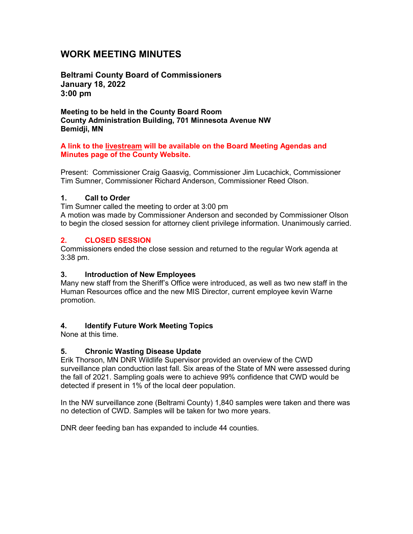# **WORK MEETING MINUTES**

**Beltrami County Board of Commissioners January 18, 2022 3:00 pm**

**Meeting to be held in the County Board Room County Administration Building, 701 Minnesota Avenue NW Bemidji, MN**

### **A link to the livestream will be available on the Board Meeting Agendas and Minutes page of the County Website.**

Present: Commissioner Craig Gaasvig, Commissioner Jim Lucachick, Commissioner Tim Sumner, Commissioner Richard Anderson, Commissioner Reed Olson.

### **1. Call to Order**

Tim Sumner called the meeting to order at 3:00 pm

A motion was made by Commissioner Anderson and seconded by Commissioner Olson to begin the closed session for attorney client privilege information. Unanimously carried.

### **2. CLOSED SESSION**

Commissioners ended the close session and returned to the regular Work agenda at 3:38 pm.

### **3. Introduction of New Employees**

Many new staff from the Sheriff's Office were introduced, as well as two new staff in the Human Resources office and the new MIS Director, current employee kevin Warne promotion.

### **4. Identify Future Work Meeting Topics**

None at this time.

### **5. Chronic Wasting Disease Update**

Erik Thorson, MN DNR Wildlife Supervisor provided an overview of the CWD surveillance plan conduction last fall. Six areas of the State of MN were assessed during the fall of 2021. Sampling goals were to achieve 99% confidence that CWD would be detected if present in 1% of the local deer population.

In the NW surveillance zone (Beltrami County) 1,840 samples were taken and there was no detection of CWD. Samples will be taken for two more years.

DNR deer feeding ban has expanded to include 44 counties.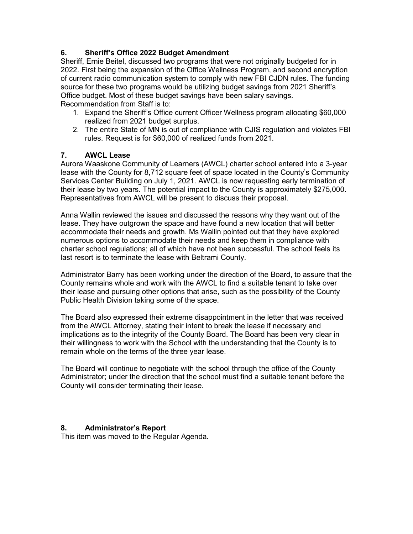## **6. Sheriff's Office 2022 Budget Amendment**

Sheriff, Ernie Beitel, discussed two programs that were not originally budgeted for in 2022. First being the expansion of the Office Wellness Program, and second encryption of current radio communication system to comply with new FBI CJDN rules. The funding source for these two programs would be utilizing budget savings from 2021 Sheriff's Office budget. Most of these budget savings have been salary savings. Recommendation from Staff is to:

- 1. Expand the Sheriff's Office current Officer Wellness program allocating \$60,000 realized from 2021 budget surplus.
- 2. The entire State of MN is out of compliance with CJIS regulation and violates FBI rules. Request is for \$60,000 of realized funds from 2021.

### **7. AWCL Lease**

Aurora Waaskone Community of Learners (AWCL) charter school entered into a 3-year lease with the County for 8,712 square feet of space located in the County's Community Services Center Building on July 1, 2021. AWCL is now requesting early termination of their lease by two years. The potential impact to the County is approximately \$275,000. Representatives from AWCL will be present to discuss their proposal.

Anna Wallin reviewed the issues and discussed the reasons why they want out of the lease. They have outgrown the space and have found a new location that will better accommodate their needs and growth. Ms Wallin pointed out that they have explored numerous options to accommodate their needs and keep them in compliance with charter school regulations; all of which have not been successful. The school feels its last resort is to terminate the lease with Beltrami County.

Administrator Barry has been working under the direction of the Board, to assure that the County remains whole and work with the AWCL to find a suitable tenant to take over their lease and pursuing other options that arise, such as the possibility of the County Public Health Division taking some of the space.

The Board also expressed their extreme disappointment in the letter that was received from the AWCL Attorney, stating their intent to break the lease if necessary and implications as to the integrity of the County Board. The Board has been very clear in their willingness to work with the School with the understanding that the County is to remain whole on the terms of the three year lease.

The Board will continue to negotiate with the school through the office of the County Administrator; under the direction that the school must find a suitable tenant before the County will consider terminating their lease.

#### **8. Administrator's Report**

This item was moved to the Regular Agenda.